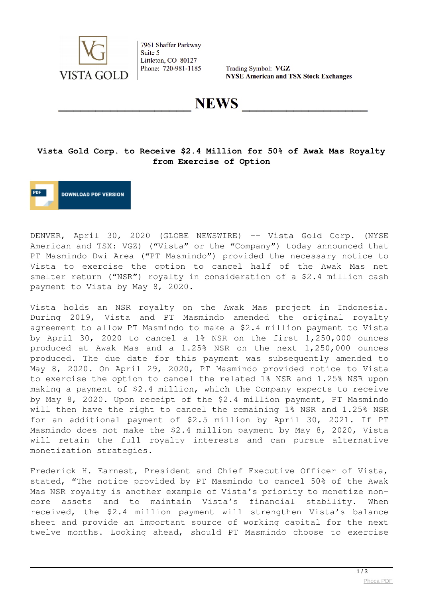

7961 Shaffer Parkway Suite 5 Littleton, CO 80127 Phone: 720-981-1185

Trading Symbol: VGZ **NYSE American and TSX Stock Exchanges** 

**NEWS** 

## **Vista Gold Corp. to Receive \$2.4 Million for 50% of Awak Mas Royalty from Exercise of Option**



DENVER, April 30, 2020 (GLOBE NEWSWIRE) -- Vista Gold Corp. (NYSE American and TSX: VGZ) ("Vista" or the "Company") today announced that PT Masmindo Dwi Area ("PT Masmindo") provided the necessary notice to Vista to exercise the option to cancel half of the Awak Mas net smelter return ("NSR") royalty in consideration of a \$2.4 million cash payment to Vista by May 8, 2020.

Vista holds an NSR royalty on the Awak Mas project in Indonesia. During 2019, Vista and PT Masmindo amended the original royalty agreement to allow PT Masmindo to make a \$2.4 million payment to Vista by April 30, 2020 to cancel a 1% NSR on the first 1,250,000 ounces produced at Awak Mas and a 1.25% NSR on the next 1,250,000 ounces produced. The due date for this payment was subsequently amended to May 8, 2020. On April 29, 2020, PT Masmindo provided notice to Vista to exercise the option to cancel the related 1% NSR and 1.25% NSR upon making a payment of \$2.4 million, which the Company expects to receive by May 8, 2020. Upon receipt of the \$2.4 million payment, PT Masmindo will then have the right to cancel the remaining 1% NSR and 1.25% NSR for an additional payment of \$2.5 million by April 30, 2021. If PT Masmindo does not make the \$2.4 million payment by May 8, 2020, Vista will retain the full royalty interests and can pursue alternative monetization strategies.

Frederick H. Earnest, President and Chief Executive Officer of Vista, stated, "The notice provided by PT Masmindo to cancel 50% of the Awak Mas NSR royalty is another example of Vista's priority to monetize noncore assets and to maintain Vista's financial stability. When received, the \$2.4 million payment will strengthen Vista's balance sheet and provide an important source of working capital for the next twelve months. Looking ahead, should PT Masmindo choose to exercise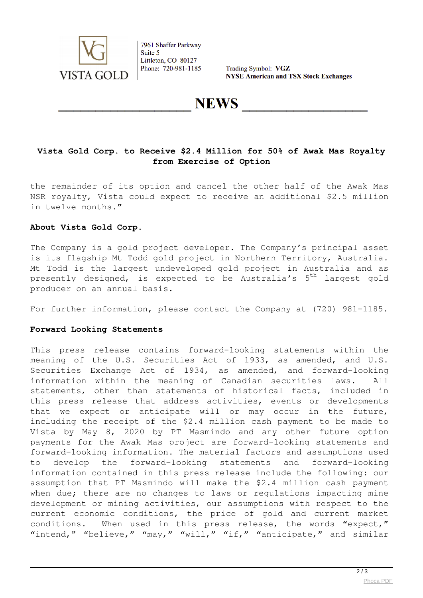

7961 Shaffer Parkway Suite 5 Littleton, CO 80127 Phone: 720-981-1185

Trading Symbol: VGZ **NYSE American and TSX Stock Exchanges** 

**NEWS** 

## **Vista Gold Corp. to Receive \$2.4 Million for 50% of Awak Mas Royalty from Exercise of Option**

the remainder of its option and cancel the other half of the Awak Mas NSR royalty, Vista could expect to receive an additional \$2.5 million in twelve months."

### **About Vista Gold Corp**.

The Company is a gold project developer. The Company's principal asset is its flagship Mt Todd gold project in Northern Territory, Australia. Mt Todd is the largest undeveloped gold project in Australia and as presently designed, is expected to be Australia's  $5<sup>th</sup>$  largest gold producer on an annual basis.

For further information, please contact the Company at (720) 981-1185.

#### **Forward Looking Statements**

This press release contains forward-looking statements within the meaning of the U.S. Securities Act of 1933, as amended, and U.S. Securities Exchange Act of 1934, as amended, and forward-looking information within the meaning of Canadian securities laws. All statements, other than statements of historical facts, included in this press release that address activities, events or developments that we expect or anticipate will or may occur in the future, including the receipt of the \$2.4 million cash payment to be made to Vista by May 8, 2020 by PT Masmindo and any other future option payments for the Awak Mas project are forward-looking statements and forward-looking information. The material factors and assumptions used to develop the forward-looking statements and forward-looking information contained in this press release include the following: our assumption that PT Masmindo will make the \$2.4 million cash payment when due; there are no changes to laws or regulations impacting mine development or mining activities, our assumptions with respect to the current economic conditions, the price of gold and current market conditions. When used in this press release, the words "expect," "intend," "believe," "may," "will," "if," "anticipate," and similar